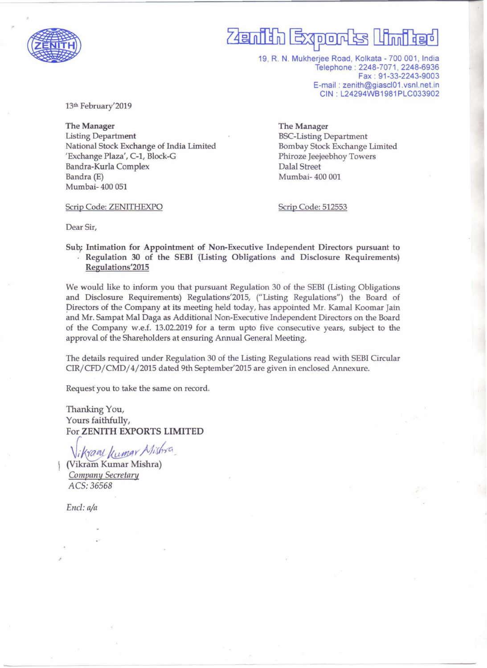

#### **Exports Limited** 749 milion

19, R. N. Mukherjee Road, Kolkata - 700 001, India Telephone : 2248-7071,2248-6936 Fax : 91-33-2243-9003 E-mail: zenith@giascl01.vsnl.net.in CIN : L24294WB1981PLC033902

13th February'2019

The Manager Listing Department National Stock Exchange of India Limited 'Exchange Plaza', C-l, Block-G Bandra-Kurla Complex Bandra (E) Mumbai- 400 051

The Manager BSC-Listing Department Bombay Stock Exchange Limited Phiroze Jeejeebhoy Towers Dalal Street Mumbai- 400 001

Scrip Code: ZENITHEXPO

Scrip Code: 512553

Dear Sir,

Sub; Intimation for Appointment of Non-Executive Independent Directors pursuant to Regulation 30 of the SEBI (Listing Obligations and Disclosure Requirements) Regulations'2015

We would like to inform you that pursuant Regulation 30 of the SEBI (Listing Obligations and Disclosure Requirements) Regulations'2015, ("Listing Regulations") the Board of pirectors of the Company at its meeting held today, has appointed Mr. Kamal Koomar Jain and Mr. Sampat Mal Daga as Additional Non-Executive Independent Directors on the Board of the Company w.e.f. 13.02.2019 for a term upto five consecutive years, subject to the approval of the Shareholders at ensuring Annual General Meeting.

The details required under Regulation 30 of the Listing Regulations read with SEBI Circular CIR/ CFD/ CMD/ 4/2015 dated 9th September'2015 are given in enclosed Annexure.

Request you to take the same on record.

Thanking You, Yours faithfully, For ZENITH EXPORTS **LIMITED** 

*\\ikxan\kumar Mishra*)<br>(Vikram Kumar Mishra) *Companl{ Secretary ACS:36568* 

*Ene!: ala* 

.'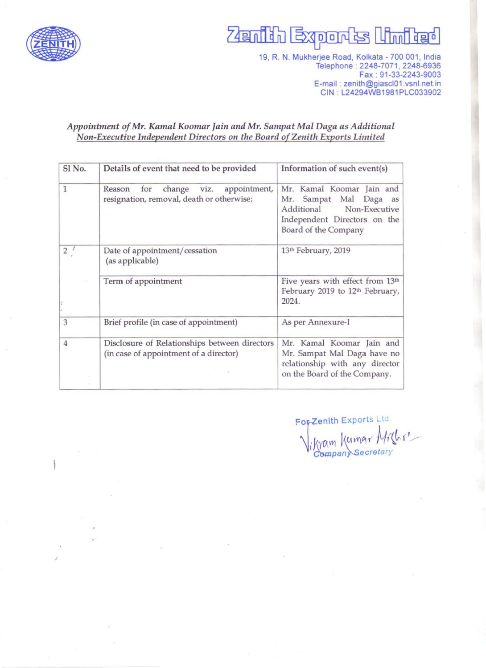

## **Zenith Exports United**

19, R. N. Mukherjee Road, Kolkata - 700 001, India Telephone: 2248-7071, 2248-6936 Fax : 91-33-2243-9003 E-mail : zenith@giascl01.vsnl.net.in CIN : L24294WB1981 PLC033902

#### *Appointment of Mr. Kamal Koomar Jain and Mr. Sampat Mal Daga as Additional Non-Executive Independent Directors on the Board of Zenith Exports Limited*

| Sl No.         | Details of event that need to be provided                                                 | Information of such event(s)                                                                                                            |
|----------------|-------------------------------------------------------------------------------------------|-----------------------------------------------------------------------------------------------------------------------------------------|
| 1              | change viz.<br>for<br>appointment,<br>Reason<br>resignation, removal, death or otherwise; | Mr. Kamal Koomar Jain and<br>Mr. Sampat Mal Daga as<br>Additional Non-Executive<br>Independent Directors on the<br>Board of the Company |
| 2 <sup>′</sup> | Date of appointment/cessation<br>(as applicable)                                          | 13th February, 2019                                                                                                                     |
|                | Term of appointment                                                                       | Five years with effect from 13th<br>February 2019 to 12th February,<br>2024.                                                            |
| 3              | Brief profile (in case of appointment)                                                    | As per Annexure-I                                                                                                                       |
| $\overline{4}$ | Disclosure of Relationships between directors<br>(in case of appointment of a director)   | Mr. Kamal Koomar Jain and<br>Mr. Sampat Mal Daga have no<br>relationship with any director<br>on the Board of the Company.              |

For-Zenith Exports Ltd  $\frac{1}{\sqrt{2}}$  Company Secretary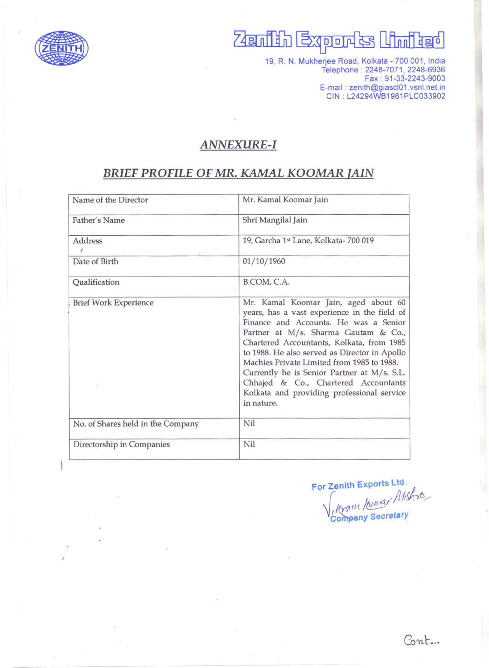

.'

# **Zenith Exports United**

19, R. N. Mukherjee Road, Kolkata - 700 001, India Telephone: 2248-7071, 2248-6936 Fax : 91-33-2243-9003 E-mail : zenith@giascI01 .vsnl.net.in GIN : L24294WB1981PLG033902

#### **ANNEXURE-I**

### **BRIEF PROFILE OF MR. KAMAL KOOMAR lAIN**

| Name of the Director              | Mr. Kamal Koomar Jain                                                                                                                                                                                                                                                                                                                                                                                                                                                |  |
|-----------------------------------|----------------------------------------------------------------------------------------------------------------------------------------------------------------------------------------------------------------------------------------------------------------------------------------------------------------------------------------------------------------------------------------------------------------------------------------------------------------------|--|
| Father's Name                     | Shri Mangilal Jain                                                                                                                                                                                                                                                                                                                                                                                                                                                   |  |
| Address                           | 19, Garcha 1st Lane, Kolkata- 700 019                                                                                                                                                                                                                                                                                                                                                                                                                                |  |
| Date of Birth                     | 01/10/1960                                                                                                                                                                                                                                                                                                                                                                                                                                                           |  |
| Qualification                     | B.COM, C.A.                                                                                                                                                                                                                                                                                                                                                                                                                                                          |  |
| <b>Brief Work Experience</b>      | Mr. Kamal Koomar Jain, aged about 60<br>years, has a vast experience in the field of<br>Finance and Accounts. He was a Senior<br>Partner at M/s. Sharma Gautam & Co.,<br>Chartered Accountants, Kolkata, from 1985<br>to 1988. He also served as Director in Apollo<br>Machies Private Limited from 1985 to 1988.<br>Currently he is Senior Partner at M/s. S.L.<br>Chhajed & Co., Chartered Accountants<br>Kolkata and providing professional service<br>in nature. |  |
| No. of Shares held in the Company | Nil                                                                                                                                                                                                                                                                                                                                                                                                                                                                  |  |
| Directorship in Companies         | Nil                                                                                                                                                                                                                                                                                                                                                                                                                                                                  |  |

For Zenith Exports Ltd. Jenith Exports Ltd.<br>Myam hung/ Mishro Company Secretary